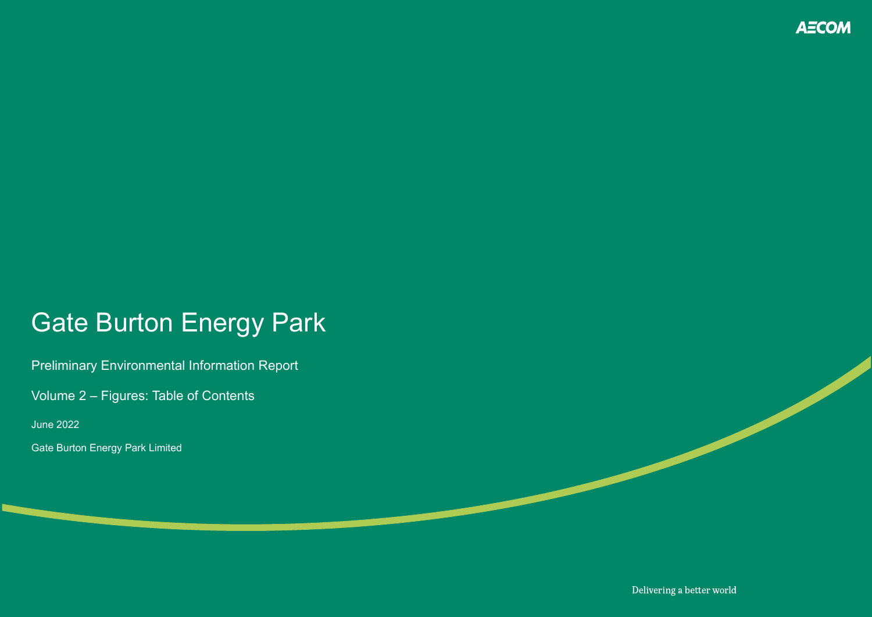## Gate Burton Energy Park

Preliminary Environmental Information Report

Volume 2 – Figures: Table of Contents

June 2022

Gate Burton Energy Park Limited



Delivering a better world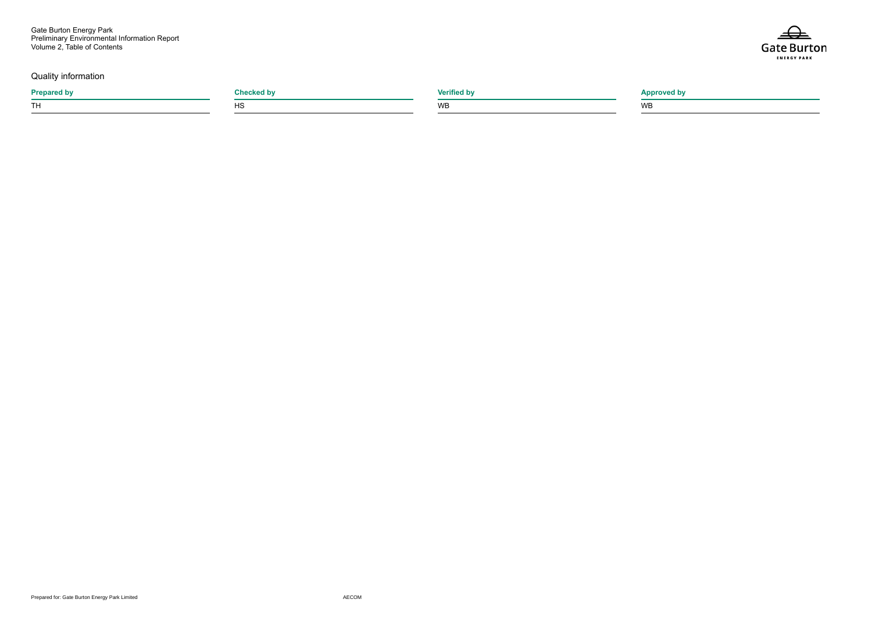Gate Burton Energy Park Preliminary Environmental Information Report Volume 2, Table of Contents

**Prepared by Checked by Verified by Approved by** TH the contract of the contract of the contract of the contract of the contract of the contract of the contract of the contract of the contract of the contract of the contract of the contract of the contract of the contrac



## Quality information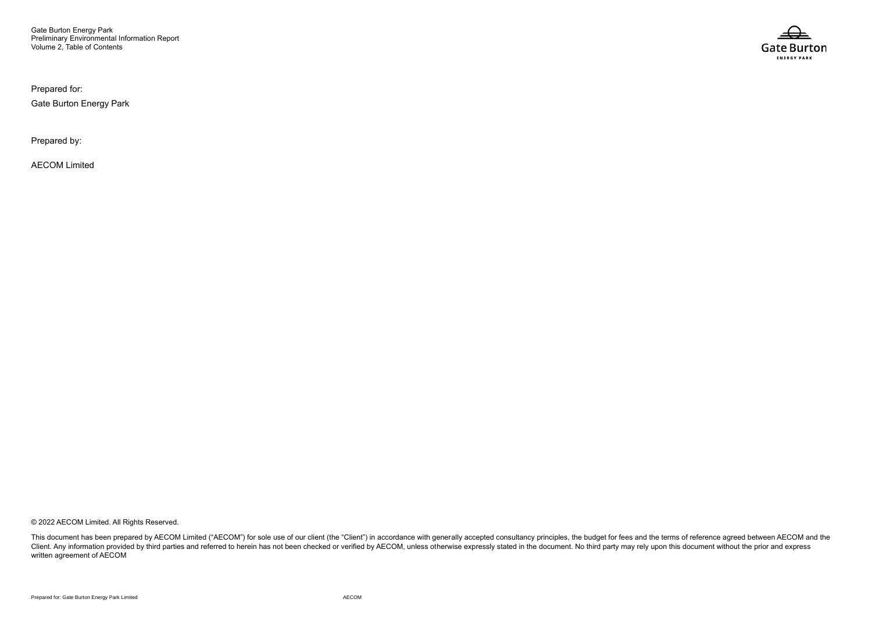Gate Burton Energy Park Preliminary Environmental Information Report Volume 2, Table of Contents

Prepared for:

Gate Burton Energy Park

Prepared by:

AECOM Limited

© 2022 AECOM Limited. All Rights Reserved.

This document has been prepared by AECOM Limited ("AECOM") for sole use of our client (the "Client") in accordance with generally accepted consultancy principles, the budget for fees and the terms of reference agreed betwe Client. Any information provided by third parties and referred to herein has not been checked or verified by AECOM, unless otherwise expressly stated in the document. No third party may rely upon this document without the written agreement of AECOM

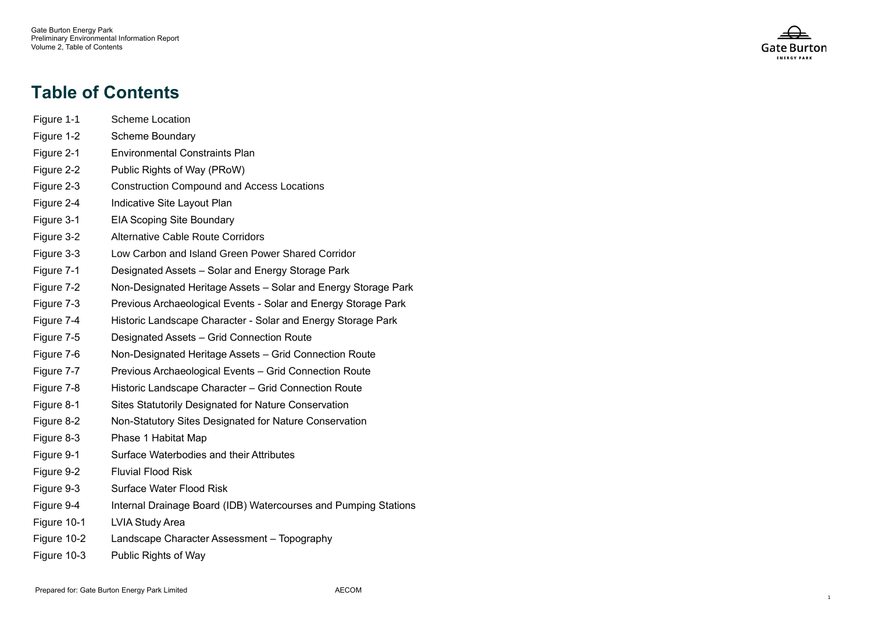- Figure 1 **Scheme Location**
- Figure 1 Scheme Boundary
- Figure 2 **Environmental Constraints Plan**
- Figure 2 Public Rights of Way (PRoW)
- Figure 2 3 Construction Compound and Access Locations
- Figure 2 Indicative Site Layout Plan
- Figure 3 **EIA Scoping Site Boundary**
- Figure 3 2 Alternative Cable Route Corridors
- Figure 3 Low Carbon and Island Green Power Shared Corridor
- Figure 7 1 Designated Assets – Solar and Energy Storage Park
- Figure 7 2 Non -Designated Heritage Assets – Solar and Energy Storage Park
- Figure 7 3 Previous Archaeological Events - Solar and Energy Storage Park
- Figure 7 4 Historic Landscape Character - Solar and Energy Storage Park
- Figure 7 5 Designated Assets – Grid Connection Route
- Figure 7 6 Non -Designated Heritage Assets – Grid Connection Route
- Figure 7 7 Previous Archaeological Events – Grid Connection Route
- Figure 7 8 Historic Landscape Character – Grid Connection Route
- Figure 8 **Sites Statutorily Designated for Nature Conservation**
- Figure 8 2 Non - Statutory Sites Designated for Nature Conservation
- Figure 8 3 Phase 1 Habitat Map
- Figure 9 1 Surface Water bodies and their Attributes
- Figure 9 2 Fluvial Flood Risk
- Figure 9 Surface Water Flood Risk
- Figure 9 4 Internal Drainage Board (IDB) Watercourses and Pumping Stations
- Figure 10 LVIA Study Area
- Figure 10 2 Landscape Character Assessment – Topography
- Figure 10 Public Rights of Way



## **Table of Contents**